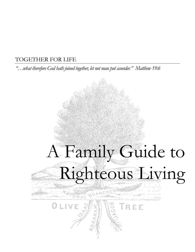## TOGETHER FOR LIFE

*"…what therefore God hath joined together, let not man put asunder." Matthew 19:6*

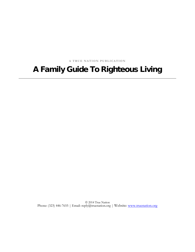**A TRUE NATION PUBLICATION**

# A Family Guide To Righteous Living

 2014 True Nation Phone: (323) 446-7655 | Email: reply@truenation.org | Website: www.truenation.org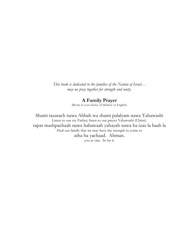*This book is dedicated to the families of the Nation of Israel… may we pray together for strength and unity.*

## **A Family Prayer**

(Recite in your choice of Hebrew or English)

Shami tazarach nawa Ahbah wa shami palalyam nawa Yahawashi Listen to our cry Father; listen to our prayer Yahawashi (Christ). rapar mashpachaah nawa hahawaah yahayah nawa ha izaz la baah la Heal our family that we may have the strength to come to atha ba yachaad. Ahman. you as one. So be it.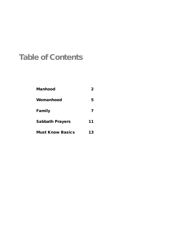# Table of Contents

| <b>Manhood</b>          | $\overline{2}$ |
|-------------------------|----------------|
| Womanhood               | 5              |
| Family                  |                |
| <b>Sabbath Prayers</b>  | 11             |
| <b>Must Know Basics</b> | 13             |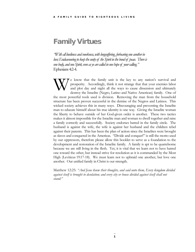## Family Virtues

*"With all lowliness and meekness, with longsuffering, forbearing one another in*  love; Endeavouring to keep the unity of the Spirit in the bond of peace. There is *one body, and one Spirit, even as ye are called in one hope of your calling."*  Ephesians 4:2-4.

e know that the family unit is the key to any nation's survival and prosperity. Accordingly, think it not strange that that your enemies labor and plot day and night all the ways to cause dissension and ultimately destroy the Israelite (Negro, Latino and Native American) family. One of the most powerful tools used is division. Removing the man from the household structure has been proven successful in the demise of the Negros and Latinos. This wicked society achieves this in many ways. Discouraging and preventing the Israelite man to educate himself about his true identity is one way. Giving the Israelite woman the liberty to behave outside of her God-given order is another. These two tactics makes it almost impossible for the Israelite man and woman to dwell together and raise a family correctly and successfully. Society endorses hatred in the family circle. The husband is against the wife, the wife is against her husband and the children rebel against their parents. This has been the plan of action since the Israelites were brought as slaves and conquered in the Americas. "Divide and conquer!" is still the motto used by our oppressors, therefore please allow this booklet to serve as a foundation to the development and restoration of the Israelite family. A family is apt to be quarrelsome because we are still living in the flesh. Yet, it is vital that we learn not to have hatred one toward the other, but instead strive for resolution as it is commanded by the Most High (Leviticus 19:17-18). We must learn not to upbraid one another, but love one another. Our unified family in Christ is our strength. W

Matthew 12:25: *"And Jesus knew their thoughts, and said unto them, Every kingdom divided against itself is brought to desolation; and every city or house divided against itself shall not stand:"*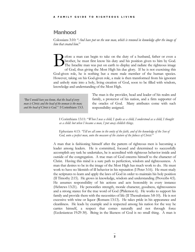## <span id="page-5-0"></span>**Manhood**

Colossians 3:10: "*And have put on the new man, which is renewed in knowledge after the image of him that created him.*"

efore a man can begin to take on the duty of a husband, father or even a brother, he must first know his duty and his position given to him by God. The Israelite man was put on earth to display and radiate the righteous image of God, thus giving the Most High his due glory. If he is not exercising this God-given role, he is nothing but a mere male member of the human species. However, taking on his God-given role, a male is then transformed from his ignorant and unholy state into a holy, living creation of God, soon to be filled with wisdom, knowledge and understanding of the Most High. B

*"But I would have you know, that the head of every man is Christ; and the head of the woman is the man; and the head of Christ is God."* I Corinthians 13:3.

The man is the provider, head and leader of his realm and family, a protector of his nation, and a firm supporter of the oracles of God. Many attributes come with such responsibility assigned.

I Corinthians 13:11: "*When I was a child, I spake as a child, I understood as a child, I thought as a child: but when I became a man, I put away childish things.*

Ephesians 4:13: *"Till we all come in the unity of the faith, and of the knowledge of the Son of God, unto a perfect man, unto the measure of the stature of the fulness of Christ:"*

A man that is fashioning himself after the pattern of righteous men is becoming a leader among leaders. He is committed, focused and determined to successfully accomplish any task he undertakes, he is accredited with righteous behavior inside and outside of the congregation. A true man of God esteems himself to the character of Christ. Having this mind is a sure path to perfection, wisdom and righteousness. A man that desires to be in the image of the Most High has much work to do. He must work to have no blemish of ill behavior in his reputation (I Peter 3:16). He must study the scriptures to learn and apply the laws of God in order to maintain his holy position (II Timothy 2:15). He grows in knowledge, wisdom and understanding (Proverbs 4:5). He assumes responsibility of his actions and acts honorably in every instance (Hebrews 13:21). He personifies strength, morale character, goodness, righteousness and a strong stance for the true word of God (Philemon 6). He works to support his family and provide them with the necessities of life (II Thessalonians 3:8-10). He is not excessive with wine or liquor (Romans 13:13). He takes pride in his appearance and cleanliness. He leads by example and is respected among his nation for the way he carries himself, a respect that comes naturally and not through force (Ecclesiastcus 19:29-30). Being in the likeness of God is no small thing. A man is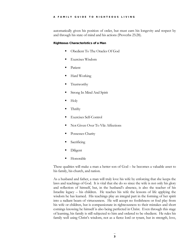## A FAMILY GUIDE TO RIGHTEOUS LIVING

automatically given his position of order, but must earn his longevity and respect by and through his state of mind and his actions (Proverbs 25:28).

## Righteous Characteristics of a Man

- Obedient To The Oracles Of God
- Exercises Wisdom
- Patient
- Hard Working
- **Trustworthy**
- Strong In Mind And Spirit
- Holy
- Thrifty
- Exercises Self-Control
- Not Given Over To Vile Affections
- Possesses Charity
- Sacrificing
- Diligent
- Honorable

These qualities will make a man a better son of God – he becomes a valuable asset to his family, his church, and nation.

As a husband and father, a man will truly love his wife by enforcing that she keeps the laws and teachings of God. It is vital that she do so since the wife is not only his glory and reflection of himself, but, in the husband's absence, is also the teacher of his Israelite legacy – his children. He teaches his wife the lessons of life applying the wisdom he has learned. His teachings play an integral part in the forming of her spirit into a radiant beam of virtuousness. He will accept no foolishness or foul play from his wife or children, but is compassionate in righteousness to their mistakes and short comings knowing he himself is also being perfected in Christ. Even through this stage of learning, his family is still subjected to him and ordered to be obedient. He rules his family well using Christ's wisdom, not as a fierce lord or tyrant, but in strength, love,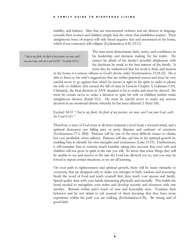stability, and balance. Men that use unwarranted violence and are abusive in language towards their women and children simply lack the virtue that establishes respect. Their unrighteous force of respect will only breed negative fear and resentment in his home, which if not corrected, will collapse (Ecclesiasticus 4:30, 23:11).

*"And ye my flock, the flock of my pasture, are men, and I am your God, saith the Lord GOD."* Ezekiel 34:31*.*

The man must demonstrate faith, surety, and confidence in his leadership and decision making for his realm. He cannot be afraid of his family's possible displeasure with the decisions he made in the best interest of the family. It must also be understood that his word is final, and treason

in the home is a serious offense to God's divine order (Ecclesiasticus 33:18-22). He is able to listen to his wife's suggestions that are within practical reason and must be very careful never to go against that which he knows is right in his spirit in order to please his wife or children (this caused the fall of man in Genesis Chapter 3; Galatians 1:10). Ultimately, the final decision in ANY situation is his to make and must be obeyed. He must be certain never to make a decision to spite his wife or children neither make unrighteous decrees (Isaiah 10:1). He must be careful never to make any serious decision in an emotional climate whereby he has been affected (1 Peter 5:8).

## Ezekiel 34:31 *"And ye my flock, the flock of my pasture, are men, and I am your God, saith the Lord GOD."*

Therefore, a man of God must at all times maintain a level head, a focused mind, and a spiritual demeanor not falling prey to petty disputes and outburst of emotions (Ecclesiastcus 27:3, 28:8). Patience will be one of the most difficult virtues to obtain, but very profitable when utilized. Patience will also aid him in his spiritual growth by enabling him to identify his own strengths and weaknesses (Luke 21:19). Furthermore, it will mandate him to exercise much humility taking into account that your wife and children will not grow in spirit at the rate you will. So know that some things they will be unable to see and receive at the rate the Lord has allowed you to, and you may be forced to repeat certain situations, as we are all learning.

On your path to righteousness and spiritual growth, there will be many obstacles to overcome that are designed only to make you stronger in faith, wisdom and reasoning. Study the word of God and teach yourself first, then teach your spouse and family. Spend quality time with your family interacting physically and mentally. This builds the bond needed to strengthen your realm and develop security and closeness with one another. Remain within arm's reach of wise and honorable men. Examine their behavior and be not afraid to ask counsel of them knowing that they have more experience within the path you are walking (Ecclesiasticus 6:36). Be strong and of good faith.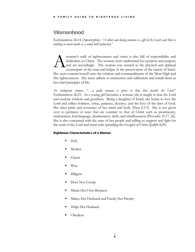## <span id="page-8-0"></span>**Womanhood**

Ecclesiasticus 26:14 (Apocrypha): *"A silent and loving woman is a gift of the Lord; and there is nothing so much worth as a mind well instructed."*

woman's walk of righteousness and virtue is also full of responsibility and dedication to Christ. The woman must understand her position and purpose and act accordingly. The woman was created as the physical and spiritual counterpart of the man and helper in the preservation of the nation of Israel. She must commit herself unto the wisdom and commandments of the Most High and His righteousness. She must adhere to instruction and edification and install them as her chief principles of life. A

As scripture states, "*…a godly woman is given to him that feareth the Lord.*" Ecclesiasticus 26:23. As a young girl becomes a woman, she is taught to fear the Lord and exercise wisdom and goodness. Being a daughter of Israel, she learns to love the Lord and reflect holiness, virtue, patience, decency, and the love of the laws of God. She takes pride and reverence of her mind and body (Titus 2:3-5). She is not given over to pettiness or ways that are contrary to that of Christ such as promiscuity, uncleanness, foul language, drunkenness, sloth, and rebelliousness (Proverbs 31:17, 26). She is also concerned with the state of her people and willing to support and fight for the truth of the Lord and assist with spreading the Gospel of Christ (Judith 8:29).

## Righteous Characteristics of a Woman

- $\blacksquare$  Holy
- Modest
- Chaste
- Wise
- Diligent
- Does Not Gossip
- Minds Her Own Business
- Makes Her Husband and Family Her Priority
- Helps Her Husband
- Obedient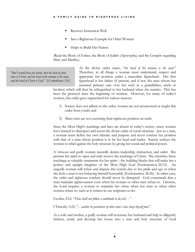- Receives Instruction Well
- Sets a Righteous Example for Other Women
- Helps to Build Her Nation

(Read the Book of Esther, the Book of Judith (Apocrypha) and the Gospels regarding Mary and Martha.)

*"But I would have you know, that the head of every man is Christ; and the head of the woman is the man; and the head of Christ is God."* I Corinthians 13:3. As the divine order states, "*the head of the woman is the man.*" Therefore, in all things a woman must understand, respect and appreciate her position under a masculine figurehead. Her first figurehead is her father (if present, and if not, the man whom has assumed primary care over her such as a grandfather, uncle or

brother) which will then be relinquished to her husband when she marries. This has been the protocol since the beginning of creation. However, for many of today's women, this order goes unpracticed for various reasons:

- 1) Society does not adhere to the order, women are not accustomed or taught this order from youth; and
- 2) Many men are not exercising their righteous position on earth.

Since the Most High's teachings and laws are absent in today's society, many women have learned to disrespect and resent the divine order of social structure. Just as a man, a woman must define her own identity and purpose and never confuse her position with that of a man whose position is to be her head and leader. Society seduces the woman to rebel against the holy structure by giving her social and political power.

A virtuous and godly woman naturally desires leadership, instruction, and order. She permits her spirit to open and truly receive the teachings of Christ. She cherishes these teachings as valuable ornaments for her spirit – the building blocks that will make her a perfect and upright daughter of the Most High God (Ecclesiasticus 26:13). An ungodly woman will refuse and dispute this system due to her pride and ego or when she feels a man is not behaving himself honorably (Ecclesiasticus 26:26). In either case, the order and righteous conduct should never be disrupted. God commands that a man maintain righteousness even when his woman or other men refuse to. Likewise, the Lord requires a woman to maintain her virtue when her man or when other women refuse to, such as is written in our scriptures to do:

Exodus 23:2: *"Thou shalt not follow a multitude to do evil…"*

I Timothy 5:22: "*…neither be partakers of other men's sins: keep thyself pure"*.

As a wife and mother, a godly woman will reverence her husband and help to diligently fashion, mold, and develop her house into a true and holy structure of God

6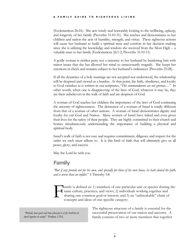## A FAMILY GUIDE TO RIGHTEOUS LIVING

(Ecclesiasticus 26:16). She acts wisely and honorably looking to the wellbeing, upkeep, and longevity of her family (Proverbs 31:10-31). She teaches and demonstrates to her children and nation the acts of humility, strength, and virtue. These righteous actions will cause her husband to build a spiritual trust and comfort in her decision making since she is utilizing the knowledge and wisdom she received from the Most High -- a valuable asset to her family (Ecclesiasticus 26:1-2; Proverbs 31:10-11)

A godly woman is neither petty nor a nuisance to her husband by burdening him with minor issues that she has allowed her mind to unnecessarily magnify. She keeps her emotions in check and remains subject to her husband's ordinances (Proverbs 25:28).

If all the dynamics of a holy marriage are not accepted nor understood, the relationship will be despised and viewed as a burden. At that point, the faith, obedience, and loyalty to God vanishes as is written in our scriptures, "*His commandments are not grievous…*" In other words, when one is disapproving of the laws of God, whatever it may be, they are then unbelievers in the walk of faith and are despisers of God.

A woman of God teaches her children the importance of the laws of God continuing the ancestry of righteousness. The demeanor of a woman of Israel is totally different from that of a woman of other nations. A woman of Israel demonstrates dignity and loyalty for our God and Nation. Many women of Israel have risked and even given their lives for the safety of their people. They are highly committed to their church and homes simultaneously understanding the importance of building a physical and spiritual body.

Israel's walk of faith is not easy and requires commitment, diligence and respect for the order we each must adhere to. It is this kind of faith that will ultimately give us all peace, glory, and success.

May the Lord be with you.

## <span id="page-10-0"></span>Family

*"But if any provide not for his own, and specially for those of his own house, he hath denied the faith, and is worse than an infidel."* I Timothy 5:8

amily is defined as: 1) members of one particular unit or species sharing the same culture, practices, and views; 2) individuals working together and sharing one common goal or interest; and 3) an "unbreakable" chain of concepts and ideas of one specific category. F

*"Behold, how good and how pleasant is it for brethren to dwell together in unity!"* Psalms 133:1.

The righteous structure of a family is essential for the successful preservation of our nation and ancestry. A family consists of two or more members that together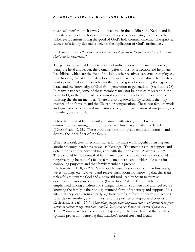## A FAMILY GUIDE TO RIGHTEOUS LIVING

must each perform their own God-given role in the building of a Nation and in the establishing of the holy ordinances. They serve as a living example to the unbeliever, demonstrating the good of God's holy commandments. The spiritual success of a family depends solely on the application of God's ordinances.

## Ecclesiasticus 27:3 *"Unless a man hold himself diligently in the fear of the Lord, his house shall soon be overthrown."*

The genetic or natural family is a body of individuals with the man (husband) being the head and leader, the woman (wife) who is his reflection and helpmate, his children which are the fruit of his loins, other relatives, servants or employees, if he has any, that aid in the development and upkeep of his realm. The family's works performed in unison achieves the desired goal of continuing the legacy of Israel and the knowledge of God from generation to generation. (See Psalms 78). In many instances, some of these members may not be physically present in the household, so the order will go chronologically as described in I Corinthians 11:3 omitting the absent member. There is also a *spiritual* family which is the holy essence of one's realm and the Church or congregation. These two families work and agree as one builds and maintains the physical regeneration of our people, and the other, the spiritual.

A true family must be tight knit and armed with order, unity, love, and communication among one another just as Christ has provided for Israel (I Corinthians 12:25). These attributes prohibit outside entities to come in and destroy the inner fiber of the family.

Whether moral, civil, or economical, a family must work together assisting one another through hardships as well as blessings. The members must support and defend one another never taking sides with the opposition (Proverbs 17:17). There should be no betrayal of family members for any reason neither should any negative thing be said of a fellow family member to an outsider unless it's for counseling purposes and that family member is present (Ecclesiasticus 19:8; 22:22). Many people casually speak evil of their husbands, wives, siblings, etc.…to vent and relieve frustrations not knowing that this is an unlawful act towards God and a powerful tool used by Satan to surmise destructive division in one's home (Proverbs 6:16-19). This must be heavily emphasized among children and siblings. They must understand and feel secure knowing the family is their only guaranteed form of sanctuary and support. It is vital that they learn from an early age how to refrain from ill speech and actions towards one another, even if in jest, and the practice of respect and courtesy. Ecclesiasticus 28:14-16: "*A backbiting tongue hath disquieted many, and driven them from nation to nation: strong cities hath it pulled down, and overthrown the houses of great men*." These "oh-so-harmless" comments chip away at the inner layer of the family's spiritual protection betraying that member's moral trust and loyalty.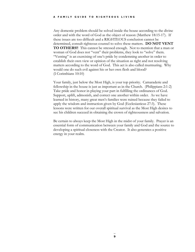Any domestic problem should be solved inside the house according to the divine order and with the word of God as the object of reason (Matthew 18:15-17). If these issues are too difficult and a RIGHTEOUS conclusion cannot be determined, consult righteous counsel to solve these matters. **DO NOT VENT TO OTHERS!!** This cannot be stressed enough. Not to mention that a man or woman of God does not "vent" their problems, they look to "solve" them. "Venting" is an exercising of one's pride by condemning another in order to establish their own view or opinion of the situation as right and not resolving matters according to the word of God. This act is also called murmuring. Why would one do such evil against his or her own flesh and blood? (I Corinthians 10:10)

Your family, just below the Most High, is your top priority. Camaraderie and fellowship in the house is just as important as in the Church. (Philippians 2:1-2) Take pride and honor in playing your part in fulfilling the ordinances of God. Support, uplift, admonish, and correct one another within order. As we have learned in history, many great men's families were ruined because they failed to apply the wisdom and instruction given by God (Ecclesiasticus 27:3). These lessons were written for our overall spiritual survival as the Most High desires to see his children succeed in obtaining the crown of righteousness and salvation.

Be certain to always keep the Most High in the midst of your family. Prayer is an essential form of communication between your family and God and the source to developing a spiritual closeness with the Creator. It also generates a positive energy in your realm.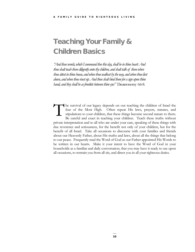# Teaching Your Family & Children Basics

*"And these words, which I command thee this day, shall be in thine heart: And thou shalt teach them diligently unto thy children, and shalt talk of them when thou sittest in thine house, and when thou walkest by the way, and when thou liest down, and when thou risest up. And thou shalt bind them for a sign upon thine hand, and they shall be as frontlets between thine eyes"* Deuteronomy 6:6-8*.*

he survival of our legacy depends on our teaching the children of Israel the fear of the Most High. Often repeat His laws, prayers, statutes, and stipulations to your children, that these things become second nature to them. Be careful and exact in teaching your children. Teach these truths without private interpretation and to all who are under your care, speaking of these things with due reverence and seriousness, for the benefit not only of your children, but for the benefit of all Israel. Take all occasions to discourse with your families and friends about our Heavenly Father, about His truths and laws, about all the things that belong to our peace. Frequently read the Word of God as our Father appointed His Words to be written in our hearts. Make it your intent to have the Word of God in your households as a familiar and daily conversation, that you may have it ready to use upon all occasions, to restrain you from all sin, and direct you in all your righteous duties. T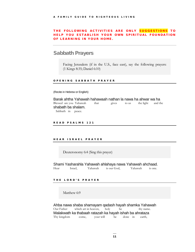## THE FOLLOWING ACTIVITIES ARE ONLY SUGGESTIONS TO HELP YOU ESTABLISH Y OUR OWN SPIRITUAL FOUNDATION OF LEARNING IN YOUR HOME.

## <span id="page-14-0"></span>Sabbath Prayers

Facing Jerusalem (if in the U.S., face east), say the following prayers: (1 Kings 8:35; Daniel 6:10)

## OPENING SABBATH PRAYER

#### (Recite in Hebrew or English)

**Barak ahtha Yahawah hahawaah nathan la nawa ha ahwar wa ha** Blessed are you Yahawah that and the gives to us the light and the Blessed are you Yahawah shabath ba shalam.

Sabbath in peace.

## READ PSALMS 121

#### HEAR ISRAEL PRAYER

Deuteronomy 6:4 (Sing this prayer)

## Shami Yasharahla Yahawah ahlahaya nawa Yahawah ahchaad.

Hear Israel, Yahawah is our God, Yahawah is one.

#### THE LORD'S PRAYER

Matthew 6:9

Ahba nawa shaba shamayam qadash hayah shamka Yahawah Our Father which art in heaven, holy be thy name. Malakwath ka thabaah ratazah ka hayah ishah ba ahrataza Thy kingdom come, your will be done in earth,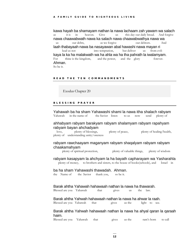kawa hayah ba shamayam nathan la nawa lachaam zah yawam wa salach as it is in heaven. Give us this day our daily bread. And forgive nawa chaawabwath nawa ka salach nawa chaawabwathya nawa wa us our debts, as we forgive our debtors. And laah thabayaah nawa ba nasayawan abal hawashi nawa mayan ri into temptation, kaya la ka ha malakwath wa ha ahla wa ha tha pahrath la iwalamyam. For thine is the kingdom, and the power, and the glory forever. Ahman. So be it.

## READ THE TEN COMMAND MENTS

Exodus Chapter 20

## BLESSING PRAYER

Yahawah ba ha sham Yahawashi shami la nawa itha shalach rabyam<br>Yahawah in the name of the Savior listen to us now send plenty of Yahawah in the name of the Savior listen to us now send plenty of

## ahhabyam rabyam barakyam rabyam shalamyam rabyam rapahyam rabyam bayan ahchadyam

 love, plenty of blessings, plenty of peace, plenty of healing/health, plenty of understanding unity/oneness

## rabyam rawchaayam maganyam rabyam shaqalyam rabyam rabyam chaakamahyam

plenty of spiritual protection, plenty of valuable things, plenty of wisdom

## rabyam kasapyam la ahchyam la ha bayath capharayam wa Yasharahla plenty of money, to brothers and sisters, to the house of books(schools), and Israel in

# ba ha sham Yahawashi thawadah. Ahman.<br>the Name of the Savior thank you, so be it.

the Name of

## Barak ahtha Yahawah hahawaah nathan la nawa ha thawarah.

Blessed are you Yahawah that gives us the law.

## Barak ahtha Yahwah hahawaah nathan la nawa ha ahwar la raah.

Blessed are you Yahawah that gives us the light to see.

## Barak ahtha Yahwah hahawaah nathan la nawa ha ahyal qaran la qaraah haim.

Blessed are you Yahawah that gives us the ram's horn to call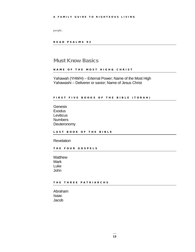people.

READ PSALMS 92

## <span id="page-16-0"></span>Must Know Basics

#### NAME OF THE MOST HIGH& CHRIST

Yahawah (YHWH) – Erternal Power; Name of the Most High Yahawashi – Deliverer or savior; Name of Jesus Christ

## FIRST FIVE BOOKS OF THE BIBLE (TORAH)

**Genesis Exodus Leviticus** Numbers **Deuteronomy** 

LAST BOOK OF THE BIBLE

**Revelation** 

THE FOUR GOSPELS

**Matthew Mark** Luke John

THE THREE PATRIARCHS

Abraham Isaac Jacob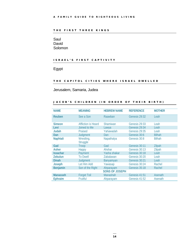## THE FIRST THREE KINGS

## Saul David Solomon

## ISRAEL'S FIRST CAPTIVITY

Egypt

## THE CAPITOL CITIES WHERE ISRAEL DWELLED

Jerusalem, Samaria, Judea

## JACOB'S CHILDREN (IN ORDER OF THEIR BIRTH)

| <b>NAME</b>     | <b>MEANING</b>             | <b>HEBREW NAME</b>    | <b>REFERENCE</b> | <b>MOTHER</b> |
|-----------------|----------------------------|-----------------------|------------------|---------------|
| Reuben          | See a Son                  | Raawban               | Genesis 29:32    | Leah          |
| <b>Simeon</b>   | <b>Affliction is Heard</b> | <b>Shamiwan</b>       | Genesis 29:33    | Leah          |
| Levi            | Joined to Me               | Lawya                 | Genesis 29:34    | Leah          |
| Judah           | Praised                    | Yahawadah             | Genesis 29:35    | Leah          |
| Dan             | Judgment                   | Dan                   | Genesis 30:6     | <b>Bilhah</b> |
| Naphtali        | Wrestling,<br>Struggle     | Napathalya            | Genesis 30:8     | <b>Bilhah</b> |
| Gad             | Troop                      | Gad                   | Genesis 30:11    | Zilpah        |
| Asher           | Happy                      | Ahshar                | Genesis 30:13    | Zilpah        |
| <b>Issachar</b> | Payment                    | Yasha shakar          | Genesis 30:18    | Leah          |
| <b>Zebulun</b>  | <b>To Dwell</b>            | Zabalawan             | Genesis 30:20    | Leah          |
| <b>Dinah</b>    | Judgment                   | Banyamyan             | Genesis 30:21    | Leah          |
| Joseph          | Let Him Add                | Yawasap               | Genesis 30:24    | Rachel        |
| <b>Benjamin</b> | Son of the Right           | Ahparayam             | Genesis 35:18    | Rachel        |
|                 |                            | <b>SONS OF JOSEPH</b> |                  |               |
| <b>Manasseh</b> | <b>Forget Toil</b>         | Manashah              | Genesis 41:51    | Asenath       |
| <b>Ephraim</b>  | Fruitful                   | Ahparayam             | Genesis 41:52    | Asenath       |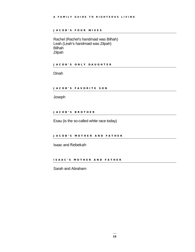## JACOB'S FOUR WIVES

Rachel (Rachel's handmaid was Bilhah) Leah (Leah's handmaid was Zilpah) Bilhah Zilpah

JACOB'S ONLY DAUGHTER

Dinah

## JACOB'S FAVORITE SON

Joseph

## JACOB'S BROTHER

Esau (is the so-called white race today)

## JACOB'S MOTHER AND FATHER

Isaac and Rebekah

## ISAAC'S MOTHER AND FATHER

Sarah and Abraham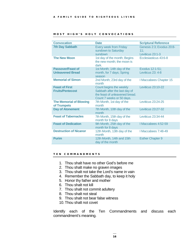| <b>Convocation</b>                                  | <b>Date</b>                                                                                                             | <b>Scriptural Reference</b>                          |
|-----------------------------------------------------|-------------------------------------------------------------------------------------------------------------------------|------------------------------------------------------|
| <b>7th Day Sabbath</b>                              | <b>Every week from Friday</b><br>sundown to Saturday<br>sundown                                                         | Genesis 2:3; Exodus 20:8-<br>11:<br>Leviticus 23:1-3 |
| <b>The New Moon</b>                                 | 1st day of the month; Begins<br>the new month; the moon is<br>dark.                                                     | Ecclesiasticus 43:6-8                                |
| <b>Passover/Feast of</b><br><b>Unleavened Bread</b> | 1st Month; 14th day of the<br>month, for 7 days; Spring<br>season                                                       | Exodus 12:1-51;<br>Leviticus 23: 4-8                 |
| <b>Memorial of Simon</b>                            | 2nd Month; 23rd day of the<br>month                                                                                     | I Maccabees Chapter 15                               |
| <b>Feast of First</b><br><b>Fruits/Pentecost</b>    | Count begins the weekly<br>Sabbath after the last day of<br>the feast of unleavened bread.<br>Count 7 weeks or 50 days. | <b>Leviticus 23:10-22</b>                            |
| <b>The Memorial of Blowing</b><br>of Trumpets       | 7th Month, 1st day of the<br>month                                                                                      | Leviticus 23:24-25                                   |
| <b>Day of Atonement</b>                             | 7th Month, 10th day of the<br>month                                                                                     | <b>Leviticus 23:27-32</b>                            |
| <b>Feast of Tabernacles</b>                         | 7th Month, 15th day of the<br>month for 8 days                                                                          | Leviticus 23:34-44                                   |
| <b>Feast of Dedication</b>                          | 9th Month, 25th day of the<br>month for 8 days                                                                          | I Maccabees 4:52-59                                  |
| <b>Destruction of Nicanor</b>                       | 12th Month, 13th day of the<br>month                                                                                    | I Maccabees 7:48-49                                  |
| <b>Purim</b>                                        | 12th Month, 14th and 15th<br>day of the month                                                                           | <b>Esther Chapter 9</b>                              |

## MOST HIGH'S HOLY CON VOCATIONS

## TEN COMMANDMENTS

- 1. Thou shalt have no other God's before me
- 2. Thou shalt make no graven images
- 3. Thou shalt not take the Lord's name in vain
- 4. Remember the Sabbath day, to keep it holy
- 5. Honor thy father and mother
- 6. Thou shalt not kill
- 7. Thou shalt not commit adultery
- 8. Thou shalt not steal
- 9. Thou shalt not bear false witness
- 10.Thou shalt not covet

Identify each of the Ten Commandments and discuss each commandment's meaning.